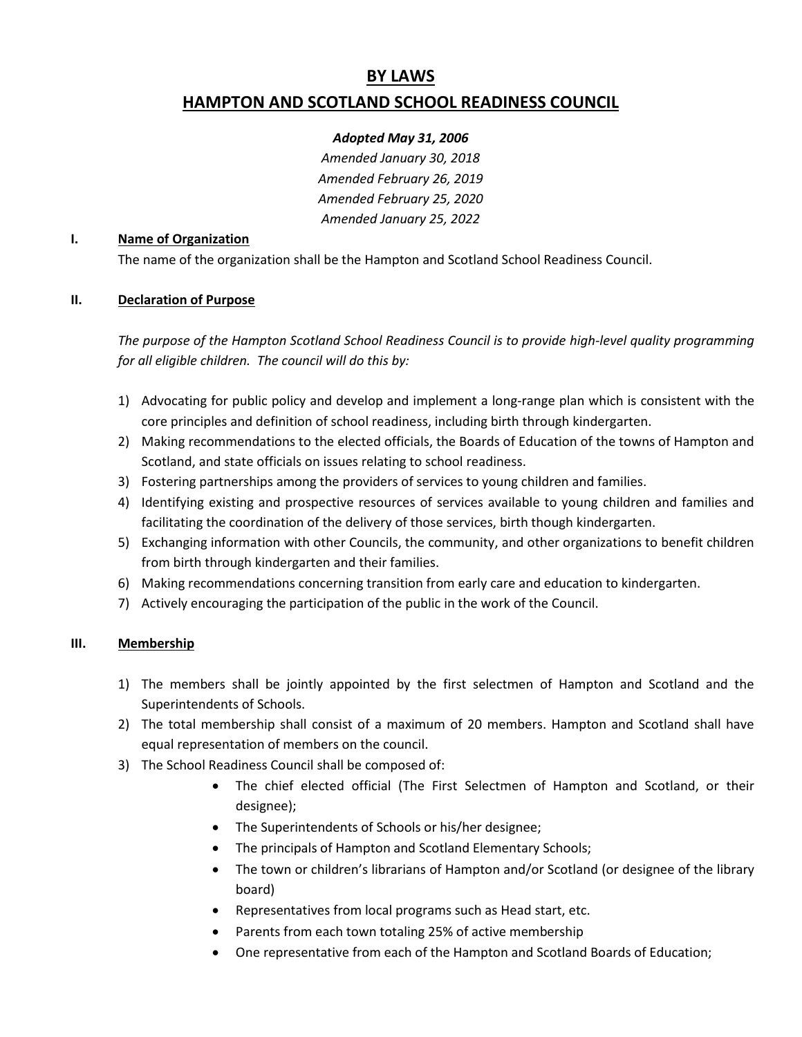# **BY LAWS HAMPTON AND SCOTLAND SCHOOL READINESS COUNCIL**

# *Adopted May 31, 2006*

*Amended January 30, 2018 Amended February 26, 2019 Amended February 25, 2020 Amended January 25, 2022*

#### **I. Name of Organization**

The name of the organization shall be the Hampton and Scotland School Readiness Council.

# **II. Declaration of Purpose**

*The purpose of the Hampton Scotland School Readiness Council is to provide high-level quality programming for all eligible children. The council will do this by:*

- 1) Advocating for public policy and develop and implement a long-range plan which is consistent with the core principles and definition of school readiness, including birth through kindergarten.
- 2) Making recommendations to the elected officials, the Boards of Education of the towns of Hampton and Scotland, and state officials on issues relating to school readiness.
- 3) Fostering partnerships among the providers of services to young children and families.
- 4) Identifying existing and prospective resources of services available to young children and families and facilitating the coordination of the delivery of those services, birth though kindergarten.
- 5) Exchanging information with other Councils, the community, and other organizations to benefit children from birth through kindergarten and their families.
- 6) Making recommendations concerning transition from early care and education to kindergarten.
- 7) Actively encouraging the participation of the public in the work of the Council.

## **III. Membership**

- 1) The members shall be jointly appointed by the first selectmen of Hampton and Scotland and the Superintendents of Schools.
- 2) The total membership shall consist of a maximum of 20 members. Hampton and Scotland shall have equal representation of members on the council.
- 3) The School Readiness Council shall be composed of:
	- The chief elected official (The First Selectmen of Hampton and Scotland, or their designee);
	- The Superintendents of Schools or his/her designee;
	- The principals of Hampton and Scotland Elementary Schools;
	- The town or children's librarians of Hampton and/or Scotland (or designee of the library board)
	- Representatives from local programs such as Head start, etc.
	- Parents from each town totaling 25% of active membership
	- One representative from each of the Hampton and Scotland Boards of Education;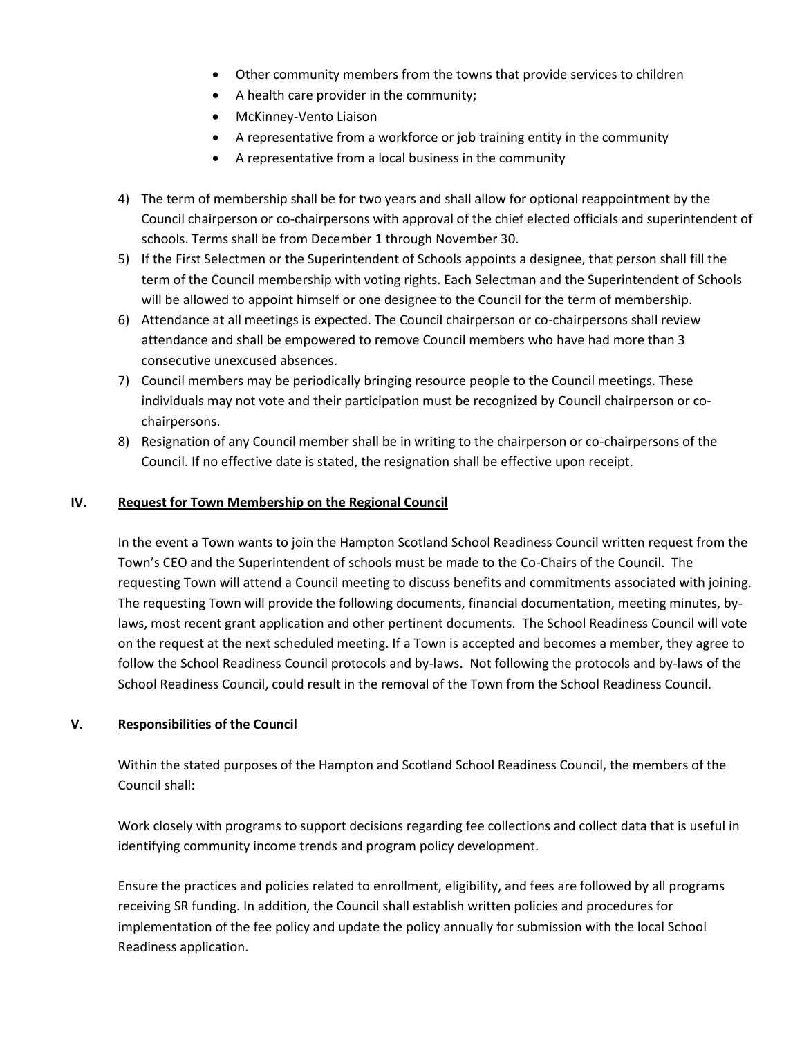- Other community members from the towns that provide services to children
- A health care provider in the community;
- McKinney-Vento Liaison
- A representative from a workforce or job training entity in the community
- A representative from a local business in the community
- 4) The term of membership shall be for two years and shall allow for optional reappointment by the Council chairperson or co-chairpersons with approval of the chief elected officials and superintendent of schools. Terms shall be from December 1 through November 30.
- 5) If the First Selectmen or the Superintendent of Schools appoints a designee, that person shall fill the term of the Council membership with voting rights. Each Selectman and the Superintendent of Schools will be allowed to appoint himself or one designee to the Council for the term of membership.
- 6) Attendance at all meetings is expected. The Council chairperson or co-chairpersons shall review attendance and shall be empowered to remove Council members who have had more than 3 consecutive unexcused absences.
- 7) Council members may be periodically bringing resource people to the Council meetings. These individuals may not vote and their participation must be recognized by Council chairperson or cochairpersons.
- 8) Resignation of any Council member shall be in writing to the chairperson or co-chairpersons of the Council. If no effective date is stated, the resignation shall be effective upon receipt.

## **IV. Request for Town Membership on the Regional Council**

In the event a Town wants to join the Hampton Scotland School Readiness Council written request from the Town's CEO and the Superintendent of schools must be made to the Co-Chairs of the Council. The requesting Town will attend a Council meeting to discuss benefits and commitments associated with joining. The requesting Town will provide the following documents, financial documentation, meeting minutes, bylaws, most recent grant application and other pertinent documents. The School Readiness Council will vote on the request at the next scheduled meeting. If a Town is accepted and becomes a member, they agree to follow the School Readiness Council protocols and by-laws. Not following the protocols and by-laws of the School Readiness Council, could result in the removal of the Town from the School Readiness Council.

## **V. Responsibilities of the Council**

Within the stated purposes of the Hampton and Scotland School Readiness Council, the members of the Council shall:

Work closely with programs to support decisions regarding fee collections and collect data that is useful in identifying community income trends and program policy development.

Ensure the practices and policies related to enrollment, eligibility, and fees are followed by all programs receiving SR funding. In addition, the Council shall establish written policies and procedures for implementation of the fee policy and update the policy annually for submission with the local School Readiness application.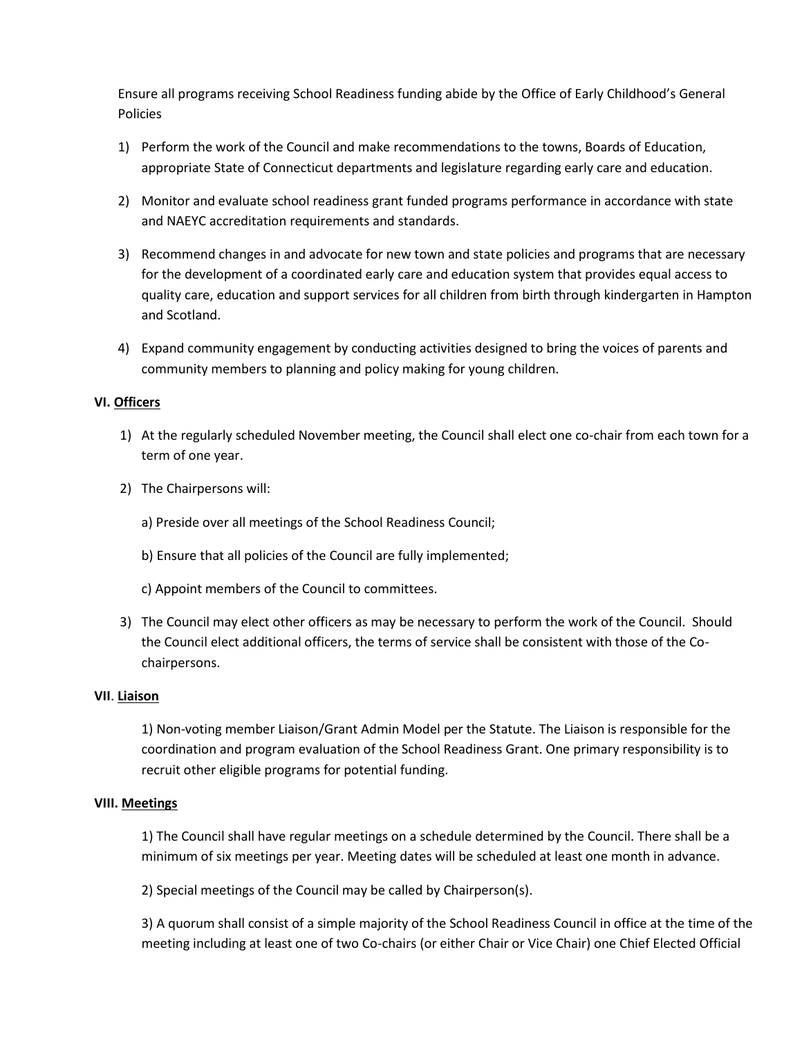Ensure all programs receiving School Readiness funding abide by the Office of Early Childhood's General Policies

- 1) Perform the work of the Council and make recommendations to the towns, Boards of Education, appropriate State of Connecticut departments and legislature regarding early care and education.
- 2) Monitor and evaluate school readiness grant funded programs performance in accordance with state and NAEYC accreditation requirements and standards.
- 3) Recommend changes in and advocate for new town and state policies and programs that are necessary for the development of a coordinated early care and education system that provides equal access to quality care, education and support services for all children from birth through kindergarten in Hampton and Scotland.
- 4) Expand community engagement by conducting activities designed to bring the voices of parents and community members to planning and policy making for young children.

## **VI. Officers**

- 1) At the regularly scheduled November meeting, the Council shall elect one co-chair from each town for a term of one year.
- 2) The Chairpersons will:
	- a) Preside over all meetings of the School Readiness Council;
	- b) Ensure that all policies of the Council are fully implemented;
	- c) Appoint members of the Council to committees.
- 3) The Council may elect other officers as may be necessary to perform the work of the Council. Should the Council elect additional officers, the terms of service shall be consistent with those of the Cochairpersons.

## **VII**. **Liaison**

1) Non-voting member Liaison/Grant Admin Model per the Statute. The Liaison is responsible for the coordination and program evaluation of the School Readiness Grant. One primary responsibility is to recruit other eligible programs for potential funding.

## **VIII. Meetings**

1) The Council shall have regular meetings on a schedule determined by the Council. There shall be a minimum of six meetings per year. Meeting dates will be scheduled at least one month in advance.

2) Special meetings of the Council may be called by Chairperson(s).

3) A quorum shall consist of a simple majority of the School Readiness Council in office at the time of the meeting including at least one of two Co-chairs (or either Chair or Vice Chair) one Chief Elected Official